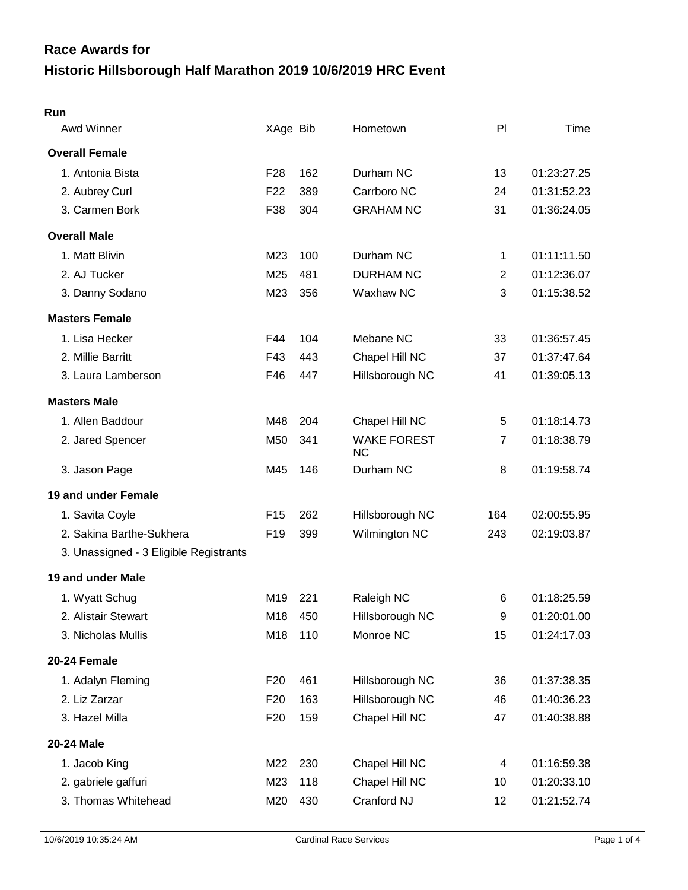# **Historic Hillsborough Half Marathon 2019 10/6/2019 HRC Event Race Awards for**

| Awd Winner                             | XAge Bib        |     | Hometown                        | PI             | Time        |
|----------------------------------------|-----------------|-----|---------------------------------|----------------|-------------|
| <b>Overall Female</b>                  |                 |     |                                 |                |             |
| 1. Antonia Bista                       | F <sub>28</sub> | 162 | Durham NC                       | 13             | 01:23:27.25 |
| 2. Aubrey Curl                         | F <sub>22</sub> | 389 | Carrboro NC                     | 24             | 01:31:52.23 |
| 3. Carmen Bork                         | F38             | 304 | <b>GRAHAM NC</b>                | 31             | 01:36:24.05 |
| <b>Overall Male</b>                    |                 |     |                                 |                |             |
| 1. Matt Blivin                         | M23             | 100 | Durham NC                       | 1              | 01:11:11.50 |
| 2. AJ Tucker                           | M25             | 481 | <b>DURHAM NC</b>                | $\overline{2}$ | 01:12:36.07 |
| 3. Danny Sodano                        | M23             | 356 | Waxhaw NC                       | 3              | 01:15:38.52 |
| <b>Masters Female</b>                  |                 |     |                                 |                |             |
| 1. Lisa Hecker                         | F44             | 104 | Mebane NC                       | 33             | 01:36:57.45 |
| 2. Millie Barritt                      | F43             | 443 | Chapel Hill NC                  | 37             | 01:37:47.64 |
| 3. Laura Lamberson                     | F46             | 447 | Hillsborough NC                 | 41             | 01:39:05.13 |
| <b>Masters Male</b>                    |                 |     |                                 |                |             |
| 1. Allen Baddour                       | M48             | 204 | Chapel Hill NC                  | 5              | 01:18:14.73 |
| 2. Jared Spencer                       | M50             | 341 | <b>WAKE FOREST</b><br><b>NC</b> | 7              | 01:18:38.79 |
| 3. Jason Page                          | M45             | 146 | Durham NC                       | 8              | 01:19:58.74 |
| 19 and under Female                    |                 |     |                                 |                |             |
| 1. Savita Coyle                        | F <sub>15</sub> | 262 | Hillsborough NC                 | 164            | 02:00:55.95 |
| 2. Sakina Barthe-Sukhera               | F <sub>19</sub> | 399 | Wilmington NC                   | 243            | 02:19:03.87 |
| 3. Unassigned - 3 Eligible Registrants |                 |     |                                 |                |             |
| 19 and under Male                      |                 |     |                                 |                |             |
| 1. Wyatt Schug                         | M19             | 221 | Raleigh NC                      | 6              | 01:18:25.59 |
| 2. Alistair Stewart                    | M18             | 450 | Hillsborough NC                 | 9              | 01:20:01.00 |
| 3. Nicholas Mullis                     | M18             | 110 | Monroe NC                       | 15             | 01:24:17.03 |
| 20-24 Female                           |                 |     |                                 |                |             |
| 1. Adalyn Fleming                      | F <sub>20</sub> | 461 | Hillsborough NC                 | 36             | 01:37:38.35 |
| 2. Liz Zarzar                          | F <sub>20</sub> | 163 | Hillsborough NC                 | 46             | 01:40:36.23 |
| 3. Hazel Milla                         | F <sub>20</sub> | 159 | Chapel Hill NC                  | 47             | 01:40:38.88 |
| 20-24 Male                             |                 |     |                                 |                |             |
| 1. Jacob King                          | M22             | 230 | Chapel Hill NC                  | 4              | 01:16:59.38 |
| 2. gabriele gaffuri                    | M23             | 118 | Chapel Hill NC                  | 10             | 01:20:33.10 |
| 3. Thomas Whitehead                    | M20             | 430 | Cranford NJ                     | 12             | 01:21:52.74 |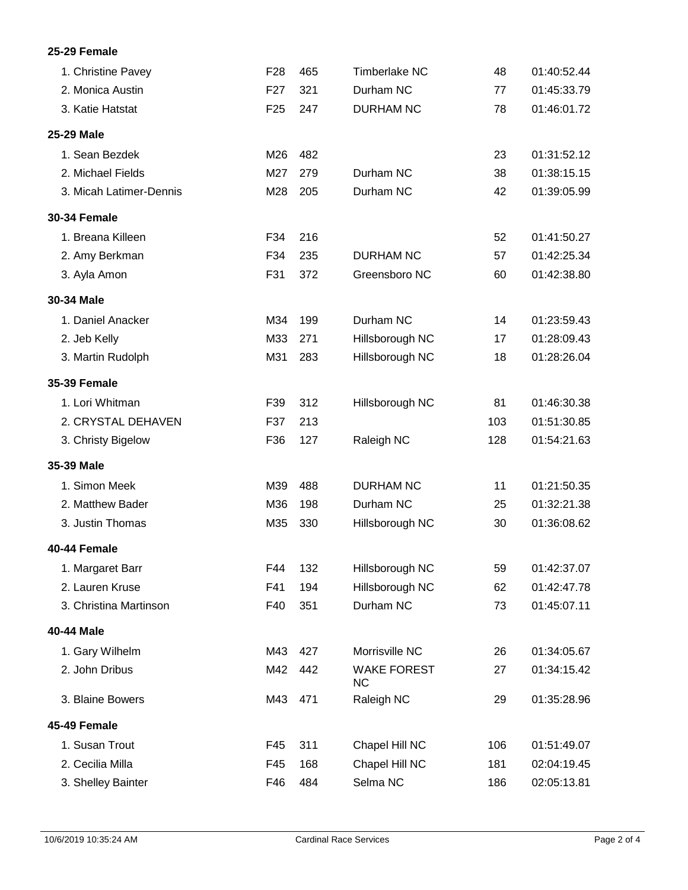## **25-29 Female**

| 1. Christine Pavey      | F <sub>28</sub> | 465 | Timberlake NC                   | 48  | 01:40:52.44 |
|-------------------------|-----------------|-----|---------------------------------|-----|-------------|
| 2. Monica Austin        | F <sub>27</sub> | 321 | Durham NC                       | 77  | 01:45:33.79 |
| 3. Katie Hatstat        | F <sub>25</sub> | 247 | <b>DURHAM NC</b>                | 78  | 01:46:01.72 |
| 25-29 Male              |                 |     |                                 |     |             |
| 1. Sean Bezdek          | M26             | 482 |                                 | 23  | 01:31:52.12 |
| 2. Michael Fields       | M27             | 279 | Durham NC                       | 38  | 01:38:15.15 |
| 3. Micah Latimer-Dennis | M28             | 205 | Durham NC                       | 42  | 01:39:05.99 |
| <b>30-34 Female</b>     |                 |     |                                 |     |             |
| 1. Breana Killeen       | F34             | 216 |                                 | 52  | 01:41:50.27 |
| 2. Amy Berkman          | F34             | 235 | <b>DURHAM NC</b>                | 57  | 01:42:25.34 |
| 3. Ayla Amon            | F31             | 372 | Greensboro NC                   | 60  | 01:42:38.80 |
| 30-34 Male              |                 |     |                                 |     |             |
| 1. Daniel Anacker       | M34             | 199 | Durham NC                       | 14  | 01:23:59.43 |
| 2. Jeb Kelly            | M33             | 271 | Hillsborough NC                 | 17  | 01:28:09.43 |
| 3. Martin Rudolph       | M31             | 283 | Hillsborough NC                 | 18  | 01:28:26.04 |
| <b>35-39 Female</b>     |                 |     |                                 |     |             |
| 1. Lori Whitman         | F39             | 312 | Hillsborough NC                 | 81  | 01:46:30.38 |
| 2. CRYSTAL DEHAVEN      | F37             | 213 |                                 | 103 | 01:51:30.85 |
| 3. Christy Bigelow      | F36             | 127 | Raleigh NC                      | 128 | 01:54:21.63 |
| 35-39 Male              |                 |     |                                 |     |             |
| 1. Simon Meek           | M39             | 488 | <b>DURHAM NC</b>                | 11  | 01:21:50.35 |
| 2. Matthew Bader        | M36             | 198 | Durham NC                       | 25  | 01:32:21.38 |
| 3. Justin Thomas        | M35             | 330 | Hillsborough NC                 | 30  | 01:36:08.62 |
| 40-44 Female            |                 |     |                                 |     |             |
| 1. Margaret Barr        | F44             | 132 | Hillsborough NC                 | 59  | 01:42:37.07 |
| 2. Lauren Kruse         | F41             | 194 | Hillsborough NC                 | 62  | 01:42:47.78 |
| 3. Christina Martinson  | F40             | 351 | Durham NC                       | 73  | 01:45:07.11 |
| 40-44 Male              |                 |     |                                 |     |             |
| 1. Gary Wilhelm         | M43             | 427 | Morrisville NC                  | 26  | 01:34:05.67 |
| 2. John Dribus          | M42             | 442 | <b>WAKE FOREST</b><br><b>NC</b> | 27  | 01:34:15.42 |
| 3. Blaine Bowers        | M43             | 471 | Raleigh NC                      | 29  | 01:35:28.96 |
| 45-49 Female            |                 |     |                                 |     |             |
| 1. Susan Trout          | F45             | 311 | Chapel Hill NC                  | 106 | 01:51:49.07 |
| 2. Cecilia Milla        | F45             | 168 | Chapel Hill NC                  | 181 | 02:04:19.45 |
| 3. Shelley Bainter      | F46             | 484 | Selma NC                        | 186 | 02:05:13.81 |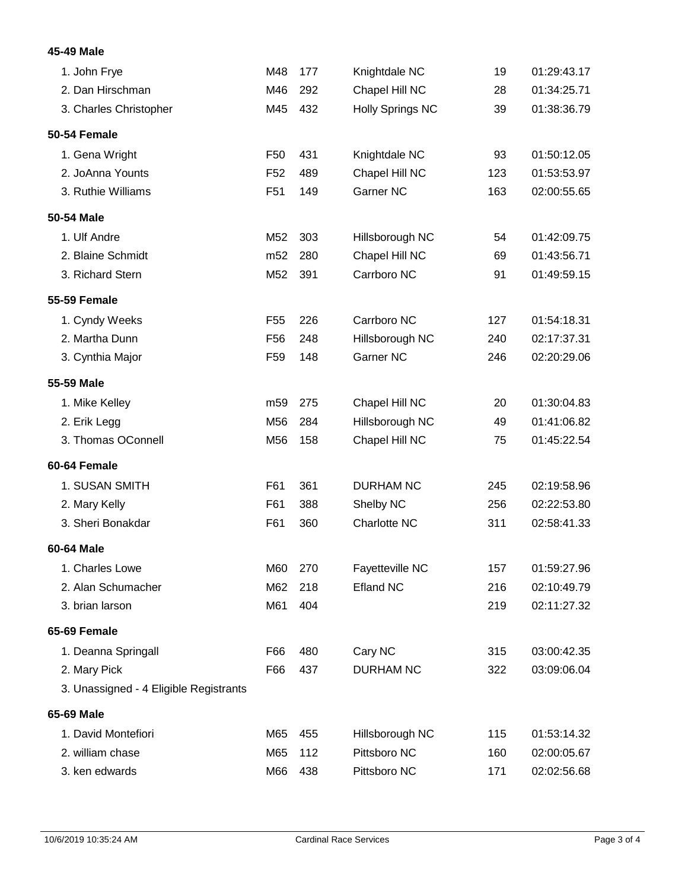## **45-49 Male**

| 1. John Frye                           | M48             | 177 | Knightdale NC           | 19  | 01:29:43.17 |
|----------------------------------------|-----------------|-----|-------------------------|-----|-------------|
| 2. Dan Hirschman                       | M46             | 292 | Chapel Hill NC          | 28  | 01:34:25.71 |
| 3. Charles Christopher                 | M45             | 432 | <b>Holly Springs NC</b> | 39  | 01:38:36.79 |
| 50-54 Female                           |                 |     |                         |     |             |
| 1. Gena Wright                         | F <sub>50</sub> | 431 | Knightdale NC           | 93  | 01:50:12.05 |
| 2. JoAnna Younts                       | F <sub>52</sub> | 489 | Chapel Hill NC          | 123 | 01:53:53.97 |
| 3. Ruthie Williams                     | F <sub>51</sub> | 149 | Garner NC               | 163 | 02:00:55.65 |
| 50-54 Male                             |                 |     |                         |     |             |
| 1. Ulf Andre                           | M52             | 303 | Hillsborough NC         | 54  | 01:42:09.75 |
| 2. Blaine Schmidt                      | m <sub>52</sub> | 280 | Chapel Hill NC          | 69  | 01:43:56.71 |
| 3. Richard Stern                       | M52             | 391 | Carrboro NC             | 91  | 01:49:59.15 |
| <b>55-59 Female</b>                    |                 |     |                         |     |             |
| 1. Cyndy Weeks                         | F <sub>55</sub> | 226 | Carrboro NC             | 127 | 01:54:18.31 |
| 2. Martha Dunn                         | F <sub>56</sub> | 248 | Hillsborough NC         | 240 | 02:17:37.31 |
| 3. Cynthia Major                       | F <sub>59</sub> | 148 | <b>Garner NC</b>        | 246 | 02:20:29.06 |
| 55-59 Male                             |                 |     |                         |     |             |
| 1. Mike Kelley                         | m <sub>59</sub> | 275 | Chapel Hill NC          | 20  | 01:30:04.83 |
| 2. Erik Legg                           | M56             | 284 | Hillsborough NC         | 49  | 01:41:06.82 |
| 3. Thomas OConnell                     | M56             | 158 | Chapel Hill NC          | 75  | 01:45:22.54 |
| 60-64 Female                           |                 |     |                         |     |             |
| 1. SUSAN SMITH                         | F61             | 361 | <b>DURHAM NC</b>        | 245 | 02:19:58.96 |
| 2. Mary Kelly                          | F61             | 388 | Shelby NC               | 256 | 02:22:53.80 |
| 3. Sheri Bonakdar                      | F61             | 360 | Charlotte NC            | 311 | 02:58:41.33 |
| 60-64 Male                             |                 |     |                         |     |             |
| 1. Charles Lowe                        | M60             | 270 | Fayetteville NC         | 157 | 01:59:27.96 |
| 2. Alan Schumacher                     | M62             | 218 | <b>Efland NC</b>        | 216 | 02:10:49.79 |
| 3. brian larson                        | M61             | 404 |                         | 219 | 02:11:27.32 |
| 65-69 Female                           |                 |     |                         |     |             |
| 1. Deanna Springall                    | F66             | 480 | Cary NC                 | 315 | 03:00:42.35 |
| 2. Mary Pick                           | F66             | 437 | <b>DURHAM NC</b>        | 322 | 03:09:06.04 |
| 3. Unassigned - 4 Eligible Registrants |                 |     |                         |     |             |
| 65-69 Male                             |                 |     |                         |     |             |
| 1. David Montefiori                    | M65             | 455 | Hillsborough NC         | 115 | 01:53:14.32 |
| 2. william chase                       | M65             | 112 | Pittsboro NC            | 160 | 02:00:05.67 |
| 3. ken edwards                         | M66             | 438 | Pittsboro NC            | 171 | 02:02:56.68 |